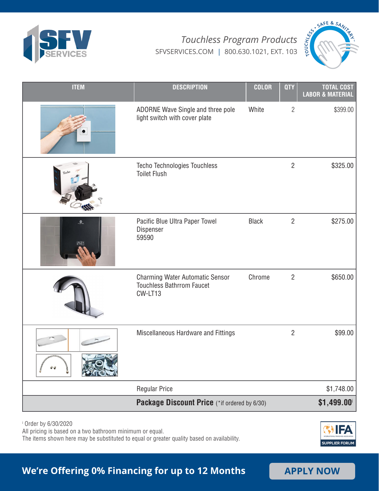



| <b>ITEM</b>             | <b>DESCRIPTION</b>                                                             | <b>COLOR</b> | <b>QTY</b>     | <b>TOTAL COST</b><br><b>LABOR &amp; MATERIAL</b> |
|-------------------------|--------------------------------------------------------------------------------|--------------|----------------|--------------------------------------------------|
|                         | ADORNE Wave Single and three pole<br>light switch with cover plate             | White        | $\overline{2}$ | \$399.00                                         |
|                         | <b>Techo Technologies Touchless</b><br><b>Toilet Flush</b>                     |              | $\overline{2}$ | \$325.00                                         |
| $\mathcal{Q}_\text{in}$ | Pacific Blue Ultra Paper Towel<br>Dispenser<br>59590                           | <b>Black</b> | $\overline{2}$ | \$275.00                                         |
|                         | Charming Water Automatic Sensor<br><b>Touchless Bathrrom Faucet</b><br>CW-LT13 | Chrome       | $\overline{2}$ | \$650.00                                         |
|                         | Miscellaneous Hardware and Fittings                                            |              | $\overline{2}$ | \$99.00                                          |
|                         | <b>Regular Price</b>                                                           |              |                | \$1,748.00                                       |
|                         | Package Discount Price (*if ordered by 6/30)                                   |              |                | \$1,499.00                                       |

i Order by 6/30/2020

All pricing is based on a two bathroom minimum or equal.

The items shown here may be substituted to equal or greater quality based on availability.



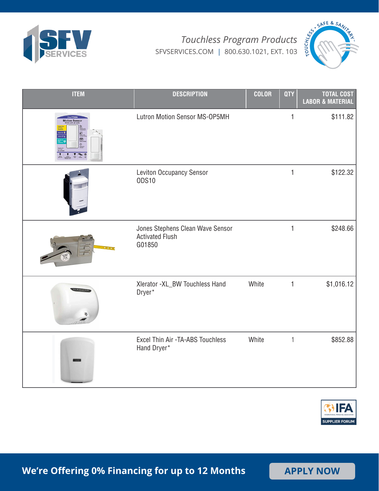



| <b>ITEM</b>          | <b>DESCRIPTION</b>                                                   | <b>COLOR</b> | <b>QTY</b>   | <b>TOTAL COST</b><br><b>LABOR &amp; MATERIAL</b> |
|----------------------|----------------------------------------------------------------------|--------------|--------------|--------------------------------------------------|
| <b>Motion Sensor</b> | Lutron Motion Sensor MS-OP5MH                                        |              | 1            | \$111.82                                         |
|                      | Leviton Occupancy Sensor<br><b>ODS10</b>                             |              | $\mathbf{1}$ | \$122.32                                         |
|                      | Jones Stephens Clean Wave Sensor<br><b>Activated Flush</b><br>G01850 |              | $\mathbf{1}$ | \$248.66                                         |
|                      | Xlerator - XL_BW Touchless Hand<br>Dryer*                            | White        | $\mathbf{1}$ | \$1,016.12                                       |
|                      | Excel Thin Air -TA-ABS Touchless<br>Hand Dryer*                      | White        | $\mathbf{1}$ | \$852.88                                         |

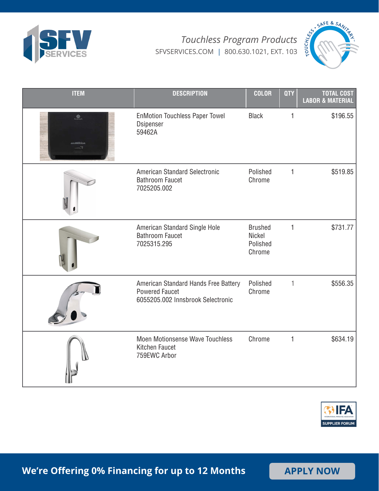



| <b>ITEM</b>    | <b>DESCRIPTION</b>                                                                                 | <b>COLOR</b>                                          | <b>QTY</b>   | <b>TOTAL COST</b><br><b>LABOR &amp; MATERIAL</b> |
|----------------|----------------------------------------------------------------------------------------------------|-------------------------------------------------------|--------------|--------------------------------------------------|
| $1$<br>nMotion | <b>EnMotion Touchless Paper Towel</b><br>Dsipenser<br>59462A                                       | <b>Black</b>                                          | 1            | \$196.55                                         |
|                | American Standard Selectronic<br><b>Bathroom Faucet</b><br>7025205.002                             | Polished<br>Chrome                                    | $\mathbf{1}$ | \$519.85                                         |
|                | American Standard Single Hole<br><b>Bathroom Faucet</b><br>7025315.295                             | <b>Brushed</b><br><b>Nickel</b><br>Polished<br>Chrome | $\mathbf{1}$ | \$731.77                                         |
|                | American Standard Hands Free Battery<br><b>Powered Faucet</b><br>6055205.002 Innsbrook Selectronic | Polished<br>Chrome                                    | $\mathbf{1}$ | \$556.35                                         |
|                | <b>Moen Motionsense Wave Touchless</b><br>Kitchen Faucet<br>759EWC Arbor                           | Chrome                                                | $\mathbf{1}$ | \$634.19                                         |